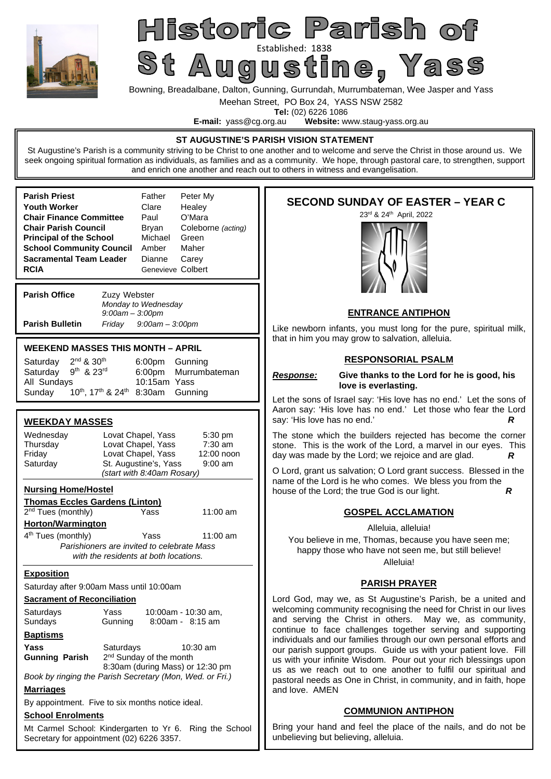

# Historic Parish of St Augustined: 1838<br>St Augustine, Yass

Bowning, Breadalbane, Dalton, Gunning, Gurrundah, Murrumbateman, Wee Jasper and Yass

Meehan Street, PO Box 24, YASS NSW 2582

**Tel:** (02) 6226 1086<br>**E-mail:** vass@cg.org.au **Website:** w Website: www.staug-yass.org.au

#### **ST AUGUSTINE'S PARISH VISION STATEMENT**

St Augustine's Parish is a community striving to be Christ to one another and to welcome and serve the Christ in those around us. We seek ongoing spiritual formation as individuals, as families and as a community. We hope, through pastoral care, to strengthen, support and enrich one another and reach out to others in witness and evangelisation.

| <b>Parish Priest</b><br><b>Youth Worker</b><br><b>Chair Finance Committee</b><br><b>Chair Parish Council</b><br><b>Principal of the School</b><br><b>School Community Council</b><br>Sacramental Team Leader<br><b>RCIA</b>                         |                 | Father<br>Clare<br>Paul<br>Bryan<br>Michael<br>Amber<br>Dianne<br>Genevieve Colbert     | Peter My<br>Healey<br>O'Mara<br>Coleborne (acting)<br>Green<br>Maher<br>Carey |  |
|-----------------------------------------------------------------------------------------------------------------------------------------------------------------------------------------------------------------------------------------------------|-----------------|-----------------------------------------------------------------------------------------|-------------------------------------------------------------------------------|--|
| <b>Parish Office</b><br>Zuzy Webster<br>Monday to Wednesday<br>$9:00am - 3:00pm$<br><b>Parish Bulletin</b><br>Friday $9:00am - 3:00pm$                                                                                                              |                 |                                                                                         |                                                                               |  |
|                                                                                                                                                                                                                                                     |                 |                                                                                         |                                                                               |  |
| WEEKEND MASSES THIS MONTH – APRIL<br>2nd & 30th<br>Saturday<br>6:00pm<br>Gunning<br>9th & 23rd<br>Murrumbateman<br>Saturday<br>6:00pm<br>10:15am Yass<br>All Sundays<br>$10^{th}$ , 17 <sup>th</sup> & 24 <sup>th</sup> 8:30am<br>Sunday<br>Gunning |                 |                                                                                         |                                                                               |  |
|                                                                                                                                                                                                                                                     |                 |                                                                                         |                                                                               |  |
| <b>WEEKDAY MASSES</b><br>Wednesday<br>Thursday<br>Friday<br>Saturday                                                                                                                                                                                |                 | Lovat Chapel, Yass<br>Lovat Chapel, Yass<br>Lovat Chapel, Yass<br>St. Augustine's, Yass | 5:30 pm<br>7:30 am<br>12:00 noon<br>$9:00 \text{ am}$                         |  |
|                                                                                                                                                                                                                                                     |                 | (start with 8:40am Rosary)                                                              |                                                                               |  |
| <b>Nursing Home/Hostel</b><br><b>Thomas Eccles Gardens (Linton)</b><br>2 <sup>nd</sup> Tues (monthly)<br>Yass<br>11:00 am                                                                                                                           |                 |                                                                                         |                                                                               |  |
| <b>Horton/Warmington</b>                                                                                                                                                                                                                            |                 |                                                                                         |                                                                               |  |
| 4 <sup>th</sup> Tues (monthly)<br>Yass<br>11:00 am<br>Parishioners are invited to celebrate Mass<br>with the residents at both locations.                                                                                                           |                 |                                                                                         |                                                                               |  |
| <b>Exposition</b>                                                                                                                                                                                                                                   |                 |                                                                                         |                                                                               |  |
| Saturday after 9:00am Mass until 10:00am                                                                                                                                                                                                            |                 |                                                                                         |                                                                               |  |
| <b>Sacrament of Reconciliation</b>                                                                                                                                                                                                                  |                 |                                                                                         |                                                                               |  |
| Saturdays<br>Sundays                                                                                                                                                                                                                                | Yass<br>Gunning |                                                                                         | 10:00am - 10:30 am,<br>$8:00$ am - $8:15$ am                                  |  |
| <b>Baptisms</b>                                                                                                                                                                                                                                     |                 |                                                                                         |                                                                               |  |
| Yass<br><b>Gunning Parish</b>                                                                                                                                                                                                                       | Saturdays       | 2 <sup>nd</sup> Sunday of the month                                                     | 10:30 am<br>8:30am (during Mass) or 12:30 pm                                  |  |
| Book by ringing the Parish Secretary (Mon, Wed. or Fri.)                                                                                                                                                                                            |                 |                                                                                         |                                                                               |  |
| <b>Marriages</b>                                                                                                                                                                                                                                    |                 |                                                                                         |                                                                               |  |
| By appointment. Five to six months notice ideal.                                                                                                                                                                                                    |                 |                                                                                         |                                                                               |  |
| <b>School Enrolments</b>                                                                                                                                                                                                                            |                 |                                                                                         |                                                                               |  |

Mt Carmel School: Kindergarten to Yr 6. Ring the School

Secretary for appointment (02) 6226 3357.

#### **SECOND SUNDAY OF EASTER – YEAR C**  23rd & 24th April, 2022



### **ENTRANCE ANTIPHON**

Like newborn infants, you must long for the pure, spiritual milk, that in him you may grow to salvation, alleluia.

### **RESPONSORIAL PSALM**

#### *Response:* **Give thanks to the Lord for he is good, his love is everlasting.**

Let the sons of Israel say: 'His love has no end.' Let the sons of Aaron say: 'His love has no end.' Let those who fear the Lord say: 'His love has no end.' **R** 

The stone which the builders rejected has become the corner stone. This is the work of the Lord, a marvel in our eyes. This day was made by the Lord; we rejoice and are glad. *R* 

O Lord, grant us salvation; O Lord grant success. Blessed in the name of the Lord is he who comes. We bless you from the house of the Lord; the true God is our light. *R*

# **GOSPEL ACCLAMATION**

Alleluia, alleluia!

You believe in me, Thomas, because you have seen me; happy those who have not seen me, but still believe! Alleluia!

# **PARISH PRAYER**

Lord God, may we, as St Augustine's Parish, be a united and welcoming community recognising the need for Christ in our lives and serving the Christ in others. May we, as community, continue to face challenges together serving and supporting individuals and our families through our own personal efforts and our parish support groups. Guide us with your patient love. Fill us with your infinite Wisdom. Pour out your rich blessings upon us as we reach out to one another to fulfil our spiritual and pastoral needs as One in Christ, in community, and in faith, hope and love. AMEN

# **COMMUNION ANTIPHON**

Bring your hand and feel the place of the nails, and do not be unbelieving but believing, alleluia.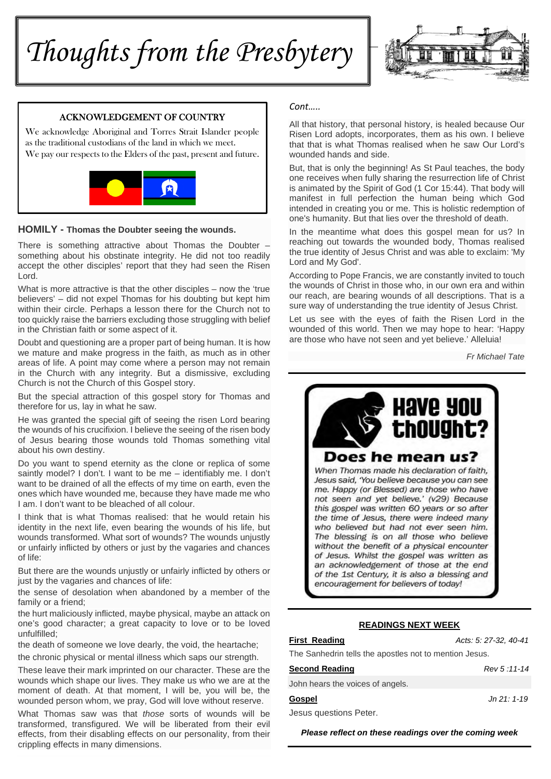# *Thoughts from the Presbytery*



### ACKNOWLEDGEMENT OF COUNTRY

We acknowledge Aboriginal and Torres Strait Islander people as the traditional custodians of the land in which we meet. We pay our respects to the Elders of the past, present and future.



#### **HOMILY - Thomas the Doubter seeing the wounds.**

There is something attractive about Thomas the Doubter – something about his obstinate integrity. He did not too readily accept the other disciples' report that they had seen the Risen Lord.

What is more attractive is that the other disciples – now the 'true believers' – did not expel Thomas for his doubting but kept him within their circle. Perhaps a lesson there for the Church not to too quickly raise the barriers excluding those struggling with belief in the Christian faith or some aspect of it.

Doubt and questioning are a proper part of being human. It is how we mature and make progress in the faith, as much as in other areas of life. A point may come where a person may not remain in the Church with any integrity. But a dismissive, excluding Church is not the Church of this Gospel story.

But the special attraction of this gospel story for Thomas and therefore for us, lay in what he saw.

He was granted the special gift of seeing the risen Lord bearing the wounds of his crucifixion. I believe the seeing of the risen body of Jesus bearing those wounds told Thomas something vital about his own destiny.

Do you want to spend eternity as the clone or replica of some saintly model? I don't. I want to be me – identifiably me. I don't want to be drained of all the effects of my time on earth, even the ones which have wounded me, because they have made me who I am. I don't want to be bleached of all colour.

I think that is what Thomas realised: that he would retain his identity in the next life, even bearing the wounds of his life, but wounds transformed. What sort of wounds? The wounds unjustly or unfairly inflicted by others or just by the vagaries and chances of life:

But there are the wounds unjustly or unfairly inflicted by others or just by the vagaries and chances of life:

the sense of desolation when abandoned by a member of the family or a friend;

the hurt maliciously inflicted, maybe physical, maybe an attack on one's good character; a great capacity to love or to be loved unfulfilled;

the death of someone we love dearly, the void, the heartache;

the chronic physical or mental illness which saps our strength.

These leave their mark imprinted on our character. These are the wounds which shape our lives. They make us who we are at the moment of death. At that moment, I will be, you will be, the wounded person whom, we pray, God will love without reserve.

What Thomas saw was that *those* sorts of wounds will be transformed, transfigured. We will be liberated from their evil effects, from their disabling effects on our personality, from their crippling effects in many dimensions.

# *Cont…..*

All that history, that personal history, is healed because Our Risen Lord adopts, incorporates, them as his own. I believe that that is what Thomas realised when he saw Our Lord's wounded hands and side.

But, that is only the beginning! As St Paul teaches, the body one receives when fully sharing the resurrection life of Christ is animated by the Spirit of God (1 Cor 15:44). That body will manifest in full perfection the human being which God intended in creating you or me. This is holistic redemption of one's humanity. But that lies over the threshold of death.

In the meantime what does this gospel mean for us? In reaching out towards the wounded body, Thomas realised the true identity of Jesus Christ and was able to exclaim: 'My Lord and My God'.

According to Pope Francis, we are constantly invited to touch the wounds of Christ in those who, in our own era and within our reach, are bearing wounds of all descriptions. That is a sure way of understanding the true identity of Jesus Christ.

Let us see with the eyes of faith the Risen Lord in the wounded of this world. Then we may hope to hear: 'Happy are those who have not seen and yet believe.' Alleluia!

*Fr Michael Tate* 



#### **READINGS NEXT WEEK**

**First Reading** *Acts: 5: 27-32, 40-41*

The Sanhedrin tells the apostles not to mention Jesus.

**Second Reading** *Rev 5 :11-14* John hears the voices of angels.

# **Gospel** *Jn 21: 1-19*

Jesus questions Peter.

*Please reflect on these readings over the coming week*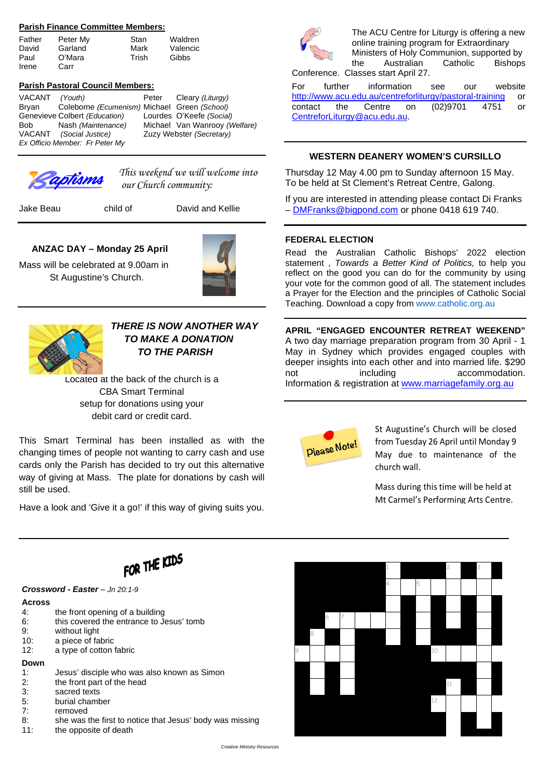#### **Parish Finance Committee Members:**

| Father | Peter My | Stan  | Waldren  |
|--------|----------|-------|----------|
| David  | Garland  | Mark  | Valencic |
| Paul   | O'Mara   | Trish | Gibbs    |
| Irene  | Carr     |       |          |

#### **Parish Pastoral Council Members:**

| VACANT (Youth)                 |                                              |  | Peter Cleary (Liturgy)        |  |
|--------------------------------|----------------------------------------------|--|-------------------------------|--|
| Bryan                          | Coleborne (Ecumenism) Michael Green (School) |  |                               |  |
|                                | Genevieve Colbert (Education)                |  | Lourdes O'Keefe (Social)      |  |
| Bob                            | Nash (Maintenance)                           |  | Michael Van Wanrooy (Welfare) |  |
|                                | VACANT (Social Justice)                      |  | Zuzy Webster (Secretary)      |  |
| Ex Officio Member: Fr Peter My |                                              |  |                               |  |

*This weekend we will welcome into our Church community:* 

Jake Beau child of David and Kellie

### **ANZAC DAY – Monday 25 April**

Mass will be celebrated at 9.00am in St Augustine's Church.





# *THERE IS NOW ANOTHER WAY TO MAKE A DONATION TO THE PARISH*

Located at the back of the church is a CBA Smart Terminal setup for donations using your debit card or credit card.

This Smart Terminal has been installed as with the changing times of people not wanting to carry cash and use cards only the Parish has decided to try out this alternative way of giving at Mass. The plate for donations by cash will still be used.

Have a look and 'Give it a go!' if this way of giving suits you.



The ACU Centre for Liturgy is offering a new online training program for Extraordinary Ministers of Holy Communion, supported by the Australian Catholic Bishops

Conference. Classes start April 27.

For further information see our website http://www.acu.edu.au/centreforliturgy/pastoral-training or contact the Centre on (02)9701 4751 or CentreforLiturgy@acu.edu.au.

# **WESTERN DEANERY WOMEN'S CURSILLO**

Thursday 12 May 4.00 pm to Sunday afternoon 15 May. To be held at St Clement's Retreat Centre, Galong.

If you are interested in attending please contact Di Franks – DMFranks@bigpond.com or phone 0418 619 740.

#### **FEDERAL ELECTION**

Read the Australian Catholic Bishops' 2022 election statement , *Towards a Better Kind of Politics,* to help you reflect on the good you can do for the community by using your vote for the common good of all. The statement includes a Prayer for the Election and the principles of Catholic Social Teaching. Download a copy from www.catholic.org.au

**APRIL "ENGAGED ENCOUNTER RETREAT WEEKEND"** A two day marriage preparation program from 30 April - 1 May in Sydney which provides engaged couples with deeper insights into each other and into married life. \$290 not including accommodation. Information & registration at www.marriagefamily.org.au



St Augustine's Church will be closed from Tuesday 26 April until Monday 9 May due to maintenance of the church wall.

Mass during this time will be held at Mt Carmel's Performing Arts Centre.